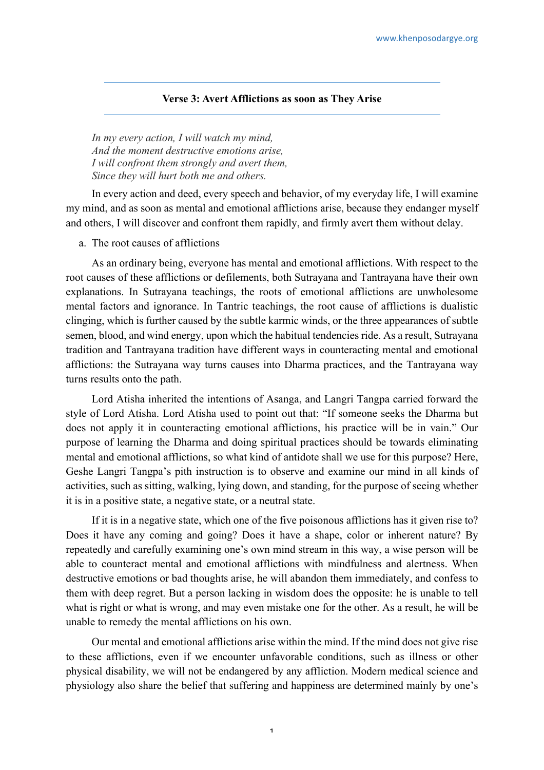## **Verse 3: Avert Afflictions as soon as They Arise**

*In my every action, I will watch my mind, And the moment destructive emotions arise, I will confront them strongly and avert them, Since they will hurt both me and others.*

In every action and deed, every speech and behavior, of my everyday life, I will examine my mind, and as soon as mental and emotional afflictions arise, because they endanger myself and others, I will discover and confront them rapidly, and firmly avert them without delay.

## a. The root causes of afflictions

As an ordinary being, everyone has mental and emotional afflictions. With respect to the root causes of these afflictions or defilements, both Sutrayana and Tantrayana have their own explanations. In Sutrayana teachings, the roots of emotional afflictions are unwholesome mental factors and ignorance. In Tantric teachings, the root cause of afflictions is dualistic clinging, which is further caused by the subtle karmic winds, or the three appearances of subtle semen, blood, and wind energy, upon which the habitual tendencies ride. As a result, Sutrayana tradition and Tantrayana tradition have different ways in counteracting mental and emotional afflictions: the Sutrayana way turns causes into Dharma practices, and the Tantrayana way turns results onto the path.

Lord Atisha inherited the intentions of Asanga, and Langri Tangpa carried forward the style of Lord Atisha. Lord Atisha used to point out that: "If someone seeks the Dharma but does not apply it in counteracting emotional afflictions, his practice will be in vain." Our purpose of learning the Dharma and doing spiritual practices should be towards eliminating mental and emotional afflictions, so what kind of antidote shall we use for this purpose? Here, Geshe Langri Tangpa's pith instruction is to observe and examine our mind in all kinds of activities, such as sitting, walking, lying down, and standing, for the purpose of seeing whether it is in a positive state, a negative state, or a neutral state.

If it is in a negative state, which one of the five poisonous afflictions has it given rise to? Does it have any coming and going? Does it have a shape, color or inherent nature? By repeatedly and carefully examining one's own mind stream in this way, a wise person will be able to counteract mental and emotional afflictions with mindfulness and alertness. When destructive emotions or bad thoughts arise, he will abandon them immediately, and confess to them with deep regret. But a person lacking in wisdom does the opposite: he is unable to tell what is right or what is wrong, and may even mistake one for the other. As a result, he will be unable to remedy the mental afflictions on his own.

Our mental and emotional afflictions arise within the mind. If the mind does not give rise to these afflictions, even if we encounter unfavorable conditions, such as illness or other physical disability, we will not be endangered by any affliction. Modern medical science and physiology also share the belief that suffering and happiness are determined mainly by one's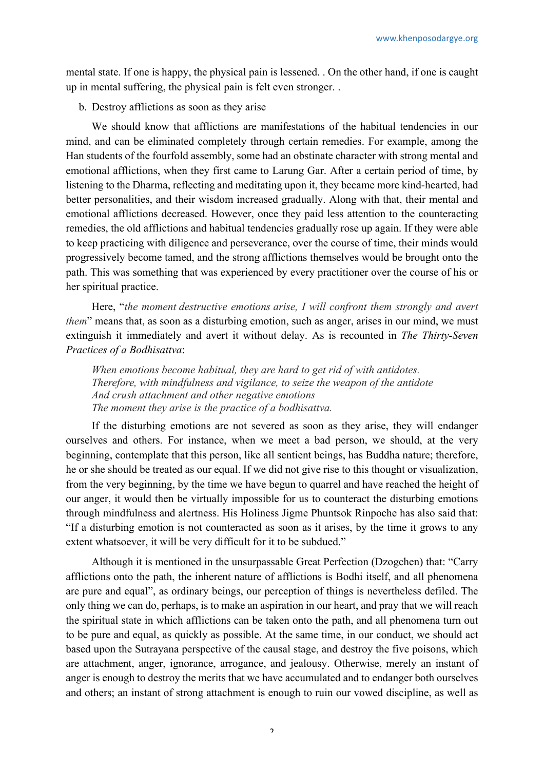mental state. If one is happy, the physical pain is lessened. . On the other hand, if one is caught up in mental suffering, the physical pain is felt even stronger. .

b. Destroy afflictions as soon as they arise

We should know that afflictions are manifestations of the habitual tendencies in our mind, and can be eliminated completely through certain remedies. For example, among the Han students of the fourfold assembly, some had an obstinate character with strong mental and emotional afflictions, when they first came to Larung Gar. After a certain period of time, by listening to the Dharma, reflecting and meditating upon it, they became more kind-hearted, had better personalities, and their wisdom increased gradually. Along with that, their mental and emotional afflictions decreased. However, once they paid less attention to the counteracting remedies, the old afflictions and habitual tendencies gradually rose up again. If they were able to keep practicing with diligence and perseverance, over the course of time, their minds would progressively become tamed, and the strong afflictions themselves would be brought onto the path. This was something that was experienced by every practitioner over the course of his or her spiritual practice.

Here, "*the moment destructive emotions arise, I will confront them strongly and avert them*" means that, as soon as a disturbing emotion, such as anger, arises in our mind, we must extinguish it immediately and avert it without delay. As is recounted in *The Thirty-Seven Practices of a Bodhisattva*:

*When emotions become habitual, they are hard to get rid of with antidotes. Therefore, with mindfulness and vigilance, to seize the weapon of the antidote And crush attachment and other negative emotions The moment they arise is the practice of a bodhisattva.*

If the disturbing emotions are not severed as soon as they arise, they will endanger ourselves and others. For instance, when we meet a bad person, we should, at the very beginning, contemplate that this person, like all sentient beings, has Buddha nature; therefore, he or she should be treated as our equal. If we did not give rise to this thought or visualization, from the very beginning, by the time we have begun to quarrel and have reached the height of our anger, it would then be virtually impossible for us to counteract the disturbing emotions through mindfulness and alertness. His Holiness Jigme Phuntsok Rinpoche has also said that: "If a disturbing emotion is not counteracted as soon as it arises, by the time it grows to any extent whatsoever, it will be very difficult for it to be subdued."

Although it is mentioned in the unsurpassable Great Perfection (Dzogchen) that: "Carry afflictions onto the path, the inherent nature of afflictions is Bodhi itself, and all phenomena are pure and equal", as ordinary beings, our perception of things is nevertheless defiled. The only thing we can do, perhaps, is to make an aspiration in our heart, and pray that we will reach the spiritual state in which afflictions can be taken onto the path, and all phenomena turn out to be pure and equal, as quickly as possible. At the same time, in our conduct, we should act based upon the Sutrayana perspective of the causal stage, and destroy the five poisons, which are attachment, anger, ignorance, arrogance, and jealousy. Otherwise, merely an instant of anger is enough to destroy the merits that we have accumulated and to endanger both ourselves and others; an instant of strong attachment is enough to ruin our vowed discipline, as well as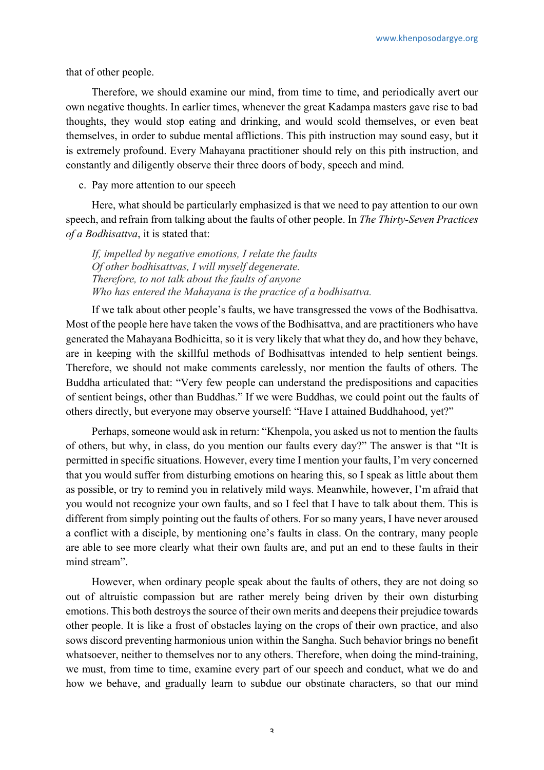that of other people.

Therefore, we should examine our mind, from time to time, and periodically avert our own negative thoughts. In earlier times, whenever the great Kadampa masters gave rise to bad thoughts, they would stop eating and drinking, and would scold themselves, or even beat themselves, in order to subdue mental afflictions. This pith instruction may sound easy, but it is extremely profound. Every Mahayana practitioner should rely on this pith instruction, and constantly and diligently observe their three doors of body, speech and mind.

c. Pay more attention to our speech

Here, what should be particularly emphasized is that we need to pay attention to our own speech, and refrain from talking about the faults of other people. In *The Thirty-Seven Practices of a Bodhisattva*, it is stated that:

*If, impelled by negative emotions, I relate the faults Of other bodhisattvas, I will myself degenerate. Therefore, to not talk about the faults of anyone Who has entered the Mahayana is the practice of a bodhisattva.*

If we talk about other people's faults, we have transgressed the vows of the Bodhisattva. Most of the people here have taken the vows of the Bodhisattva, and are practitioners who have generated the Mahayana Bodhicitta, so it is very likely that what they do, and how they behave, are in keeping with the skillful methods of Bodhisattvas intended to help sentient beings. Therefore, we should not make comments carelessly, nor mention the faults of others. The Buddha articulated that: "Very few people can understand the predispositions and capacities of sentient beings, other than Buddhas." If we were Buddhas, we could point out the faults of others directly, but everyone may observe yourself: "Have I attained Buddhahood, yet?"

Perhaps, someone would ask in return: "Khenpola, you asked us not to mention the faults of others, but why, in class, do you mention our faults every day?" The answer is that "It is permitted in specific situations. However, every time I mention your faults, I'm very concerned that you would suffer from disturbing emotions on hearing this, so I speak as little about them as possible, or try to remind you in relatively mild ways. Meanwhile, however, I'm afraid that you would not recognize your own faults, and so I feel that I have to talk about them. This is different from simply pointing out the faults of others. For so many years, I have never aroused a conflict with a disciple, by mentioning one's faults in class. On the contrary, many people are able to see more clearly what their own faults are, and put an end to these faults in their mind stream".

However, when ordinary people speak about the faults of others, they are not doing so out of altruistic compassion but are rather merely being driven by their own disturbing emotions. This both destroys the source of their own merits and deepens their prejudice towards other people. It is like a frost of obstacles laying on the crops of their own practice, and also sows discord preventing harmonious union within the Sangha. Such behavior brings no benefit whatsoever, neither to themselves nor to any others. Therefore, when doing the mind-training, we must, from time to time, examine every part of our speech and conduct, what we do and how we behave, and gradually learn to subdue our obstinate characters, so that our mind